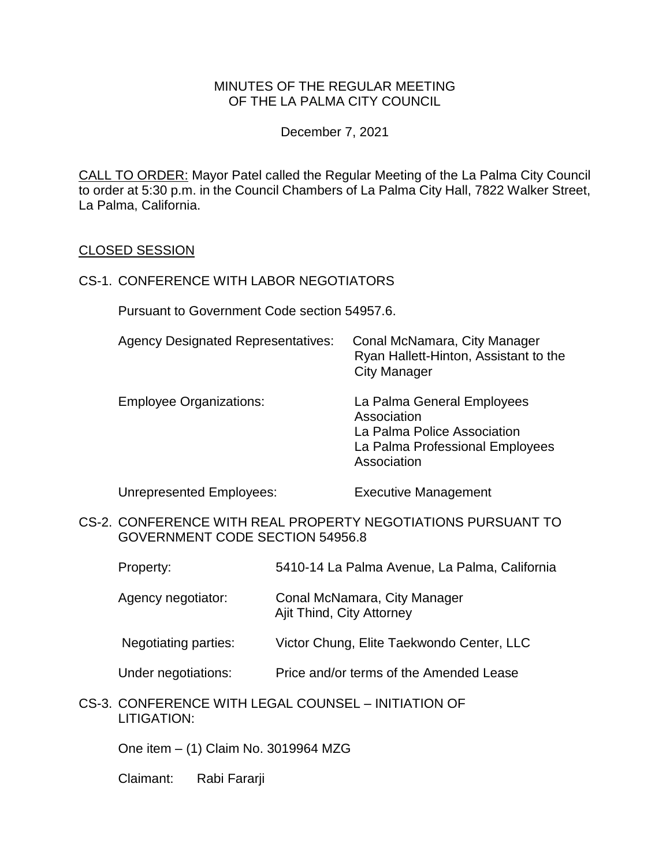### MINUTES OF THE REGULAR MEETING OF THE LA PALMA CITY COUNCIL

December 7, 2021

CALL TO ORDER: [Mayor Patel called the Regular Meeting of the La Palma City Council](https://lapalma.granicus.com/MediaPlayer.php?view_id=&clip_id=1274&meta_id=171463)  [to order at 5:30 p.m. in the Council Chambers of La Palma City Hall, 7822 Walker Street,](https://lapalma.granicus.com/MediaPlayer.php?view_id=&clip_id=1274&meta_id=171463)  [La Palma, California.](https://lapalma.granicus.com/MediaPlayer.php?view_id=&clip_id=1274&meta_id=171463)

#### CLOSED SESSION

#### CS-1. CONFERENCE WITH LABOR NEGOTIATORS

Pursuant to Government Code section 54957.6.

| <b>Agency Designated Representatives:</b> | Conal McNamara, City Manager<br>Ryan Hallett-Hinton, Assistant to the<br><b>City Manager</b>                               |
|-------------------------------------------|----------------------------------------------------------------------------------------------------------------------------|
| <b>Employee Organizations:</b>            | La Palma General Employees<br>Association<br>La Palma Police Association<br>La Palma Professional Employees<br>Association |

Unrepresented Employees: Executive Management

- CS-2. CONFERENCE WITH REAL PROPERTY NEGOTIATIONS PURSUANT TO GOVERNMENT CODE SECTION 54956.8
	- Property: 5410-14 La Palma Avenue, La Palma, California
	- Agency negotiator: Conal McNamara, City Manager Ajit Thind, City Attorney
	- Negotiating parties: Victor Chung, Elite Taekwondo Center, LLC
	- Under negotiations: Price and/or terms of the Amended Lease
- CS-3. CONFERENCE WITH LEGAL COUNSEL INITIATION OF LITIGATION:

One item – (1) Claim No. 3019964 MZG

Claimant: Rabi Fararji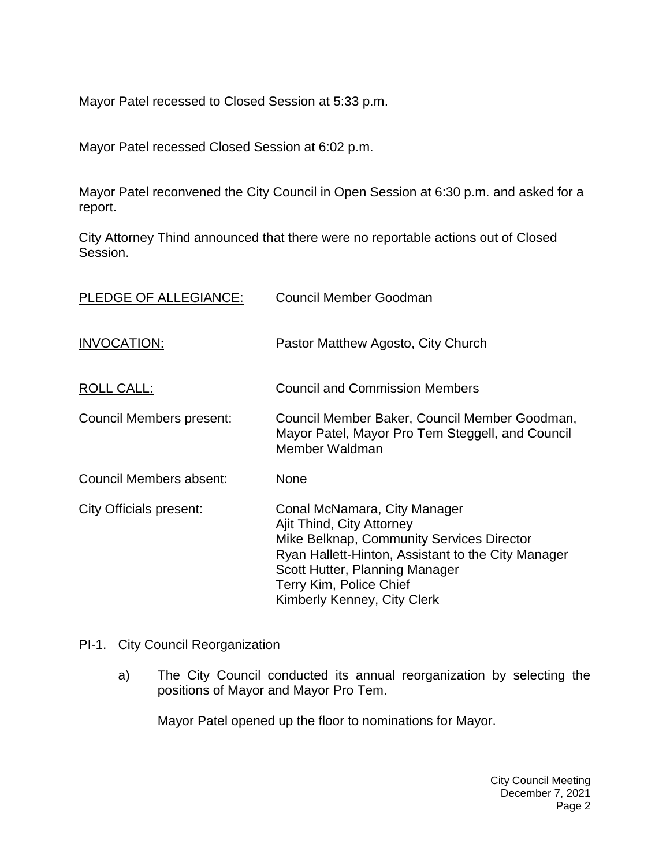Mayor Patel recessed to Closed Session at 5:33 p.m.

Mayor Patel recessed Closed Session at 6:02 p.m.

Mayor Patel reconvened the City Council in Open Session at 6:30 p.m. and asked for a report.

City Attorney Thind announced that there were no reportable actions out of Closed Session.

| PLEDGE OF ALLEGIANCE:    | Council Member Goodman                                                                                                                                                                                                                                   |
|--------------------------|----------------------------------------------------------------------------------------------------------------------------------------------------------------------------------------------------------------------------------------------------------|
| <b>INVOCATION:</b>       | Pastor Matthew Agosto, City Church                                                                                                                                                                                                                       |
| ROLL CALL:               | <b>Council and Commission Members</b>                                                                                                                                                                                                                    |
| Council Members present: | Council Member Baker, Council Member Goodman,<br>Mayor Patel, Mayor Pro Tem Steggell, and Council<br>Member Waldman                                                                                                                                      |
| Council Members absent:  | <b>None</b>                                                                                                                                                                                                                                              |
| City Officials present:  | Conal McNamara, City Manager<br>Ajit Thind, City Attorney<br>Mike Belknap, Community Services Director<br>Ryan Hallett-Hinton, Assistant to the City Manager<br>Scott Hutter, Planning Manager<br>Terry Kim, Police Chief<br>Kimberly Kenney, City Clerk |

### PI-1. [City Council Reorganization](https://lapalma.granicus.com/MediaPlayer.php?view_id=&clip_id=1274&meta_id=171471)

a) [The City Council conducted its annual reorganization by selecting the](https://lapalma.granicus.com/MediaPlayer.php?view_id=&clip_id=1274&meta_id=171472)  [positions of Mayor and Mayor Pro Tem.](https://lapalma.granicus.com/MediaPlayer.php?view_id=&clip_id=1274&meta_id=171472)

Mayor Patel opened up the floor to nominations for Mayor.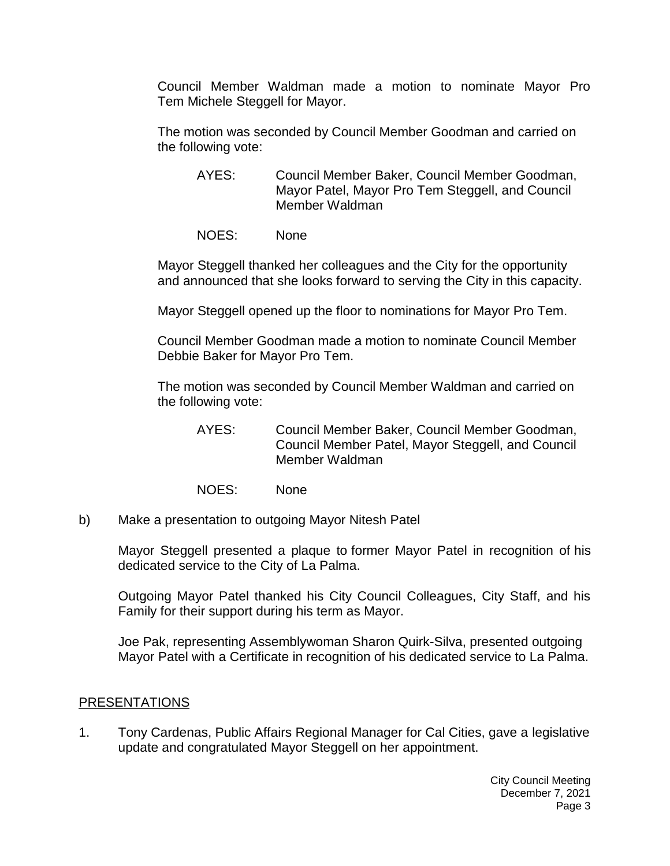Council Member Waldman made a motion to nominate Mayor Pro Tem Michele Steggell for Mayor.

The motion was seconded by Council Member Goodman and carried on the following vote:

- AYES: Council Member Baker, Council Member Goodman, Mayor Patel, Mayor Pro Tem Steggell, and Council Member Waldman
- NOES: None

Mayor Steggell thanked her colleagues and the City for the opportunity and announced that she looks forward to serving the City in this capacity.

Mayor Steggell opened up the floor to nominations for Mayor Pro Tem.

Council Member Goodman made a motion to nominate Council Member Debbie Baker for Mayor Pro Tem.

The motion was seconded by Council Member Waldman and carried on the following vote:

- AYES: Council Member Baker, Council Member Goodman, Council Member Patel, Mayor Steggell, and Council Member Waldman
- NOES: None
- b) [Make a presentation to outgoing Mayor Nitesh Patel](https://lapalma.granicus.com/MediaPlayer.php?view_id=&clip_id=1274&meta_id=171473)

Mayor Steggell presented a plaque to former Mayor Patel in recognition of his dedicated service to the City of La Palma.

Outgoing Mayor Patel thanked his City Council Colleagues, City Staff, and his Family for their support during his term as Mayor.

Joe Pak, representing Assemblywoman Sharon Quirk-Silva, presented outgoing Mayor Patel with a Certificate in recognition of his dedicated service to La Palma.

### [PRESENTATIONS](https://lapalma.granicus.com/MediaPlayer.php?view_id=&clip_id=1274&meta_id=171474)

1. [Tony Cardenas, Public Affairs Regional Manager for Cal Cities, gave a](https://lapalma.granicus.com/MediaPlayer.php?view_id=&clip_id=1274&meta_id=171475) legislative [update and congratulated Mayor Steggell on her appointment.](https://lapalma.granicus.com/MediaPlayer.php?view_id=&clip_id=1274&meta_id=171475)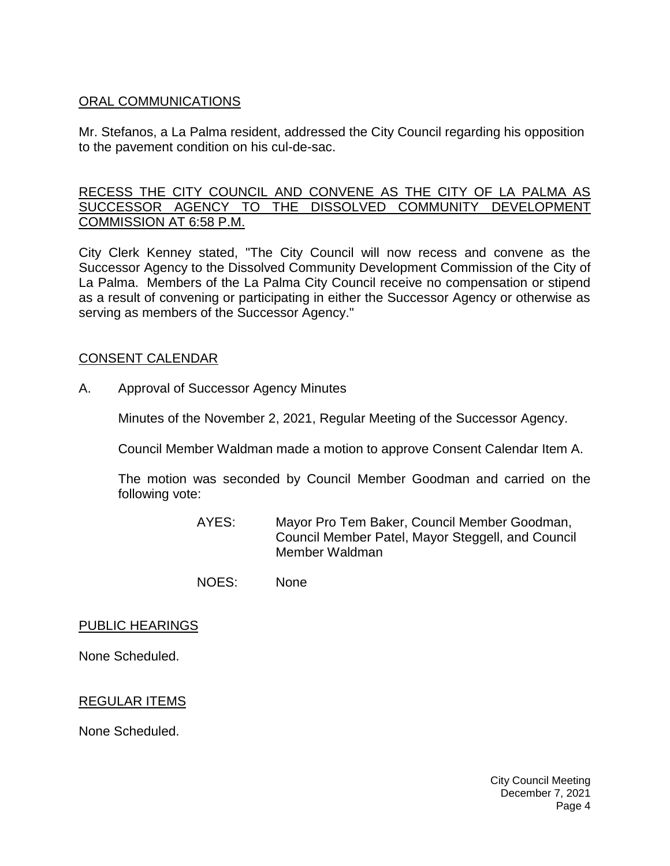# [ORAL COMMUNICATIONS](https://lapalma.granicus.com/MediaPlayer.php?view_id=&clip_id=1274&meta_id=171476)

Mr. Stefanos, a La Palma resident, addressed the City Council regarding his opposition to the pavement condition on his cul-de-sac.

### [RECESS THE CITY COUNCIL AND CONVENE AS THE CITY OF LA PALMA AS](https://lapalma.granicus.com/MediaPlayer.php?view_id=&clip_id=1274&meta_id=171477)  [SUCCESSOR AGENCY TO THE DISSOLVED COMMUNITY DEVELOPMENT](https://lapalma.granicus.com/MediaPlayer.php?view_id=&clip_id=1274&meta_id=171477)  [COMMISSION AT 6:58 P.M.](https://lapalma.granicus.com/MediaPlayer.php?view_id=&clip_id=1274&meta_id=171477)

[City Clerk Kenney stated, "The City Council will now recess and convene as the](https://lapalma.granicus.com/MediaPlayer.php?view_id=&clip_id=1274&meta_id=171478)  [Successor Agency to the Dissolved Community Development Commission of the City of](https://lapalma.granicus.com/MediaPlayer.php?view_id=&clip_id=1274&meta_id=171478)  La Palma. [Members of the La Palma City Council receive no compensation or stipend](https://lapalma.granicus.com/MediaPlayer.php?view_id=&clip_id=1274&meta_id=171478)  [as a result of convening or participating in either the Successor Agency or otherwise as](https://lapalma.granicus.com/MediaPlayer.php?view_id=&clip_id=1274&meta_id=171478)  [serving as members of the Successor Agency."](https://lapalma.granicus.com/MediaPlayer.php?view_id=&clip_id=1274&meta_id=171478)

### CONSENT CALENDAR

A. Approval of Successor Agency Minutes

Minutes of the November 2, 2021, Regular Meeting of the Successor Agency.

Council Member Waldman made a motion to approve Consent Calendar Item A.

The motion was seconded by Council Member Goodman and carried on the following vote:

- AYES: Mayor Pro Tem Baker, Council Member Goodman, Council Member Patel, Mayor Steggell, and Council Member Waldman
- NOES: None

#### PUBLIC HEARINGS

None Scheduled.

### REGULAR ITEMS

None Scheduled.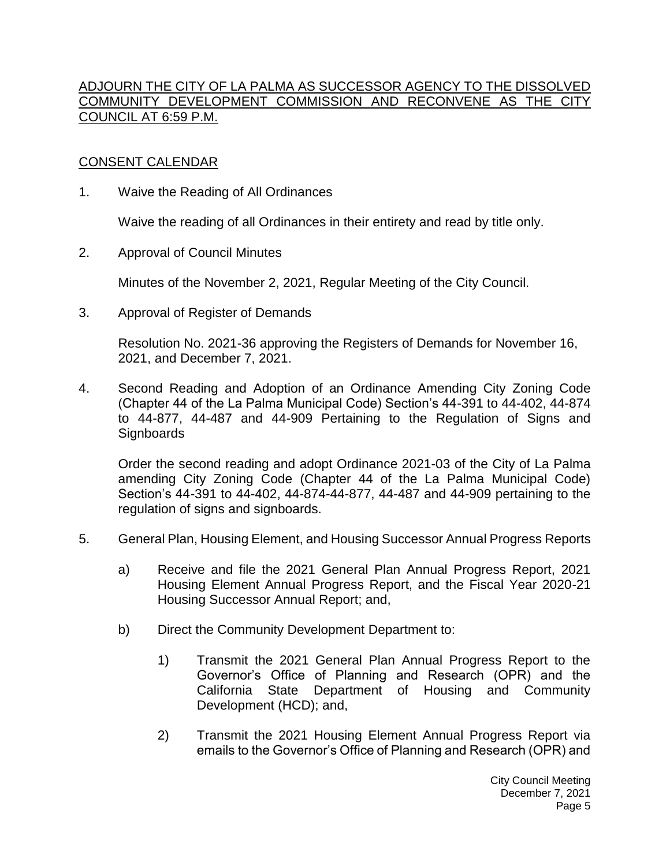### [ADJOURN THE CITY OF LA PALMA AS SUCCESSOR AGENCY TO THE DISSOLVED](https://lapalma.granicus.com/MediaPlayer.php?view_id=&clip_id=1274&meta_id=171483)  [COMMUNITY DEVELOPMENT COMMISSION AND RECONVENE AS THE CITY](https://lapalma.granicus.com/MediaPlayer.php?view_id=&clip_id=1274&meta_id=171483)  [COUNCIL AT 6:59 P.M.](https://lapalma.granicus.com/MediaPlayer.php?view_id=&clip_id=1274&meta_id=171483)

# [CONSENT CALENDAR](https://lapalma.granicus.com/MediaPlayer.php?view_id=&clip_id=1274&meta_id=171485)

1. Waive the Reading of All Ordinances

Waive the reading of all Ordinances in their entirety and read by title only.

2. Approval of Council Minutes

Minutes of the November 2, 2021, Regular Meeting of the City Council.

3. Approval of Register of Demands

Resolution No. 2021-36 approving the Registers of Demands for November 16, 2021, and December 7, 2021.

4. Second Reading and Adoption of an Ordinance Amending City Zoning Code (Chapter 44 of the La Palma Municipal Code) Section's 44-391 to 44-402, 44-874 to 44-877, 44-487 and 44-909 Pertaining to the Regulation of Signs and **Signboards** 

Order the second reading and adopt Ordinance 2021-03 of the City of La Palma amending City Zoning Code (Chapter 44 of the La Palma Municipal Code) Section's 44-391 to 44-402, 44-874-44-877, 44-487 and 44-909 pertaining to the regulation of signs and signboards.

- 5. General Plan, Housing Element, and Housing Successor Annual Progress Reports
	- a) Receive and file the 2021 General Plan Annual Progress Report, 2021 Housing Element Annual Progress Report, and the Fiscal Year 2020-21 Housing Successor Annual Report; and,
	- b) Direct the Community Development Department to:
		- 1) Transmit the 2021 General Plan Annual Progress Report to the Governor's Office of Planning and Research (OPR) and the California State Department of Housing and Community Development (HCD); and,
		- 2) Transmit the 2021 Housing Element Annual Progress Report via emails to the Governor's Office of Planning and Research (OPR) and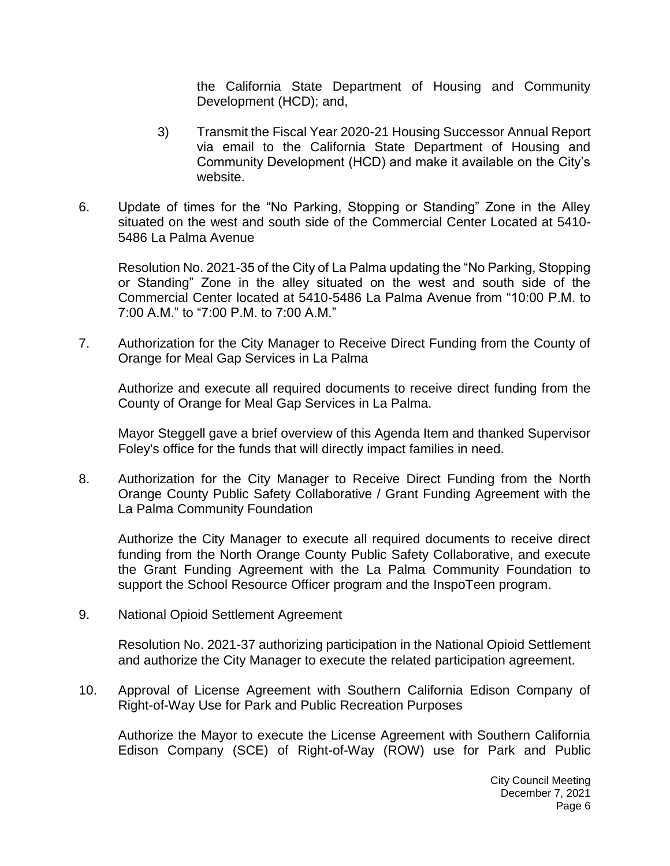the California State Department of Housing and Community Development (HCD); and,

- 3) Transmit the Fiscal Year 2020-21 Housing Successor Annual Report via email to the California State Department of Housing and Community Development (HCD) and make it available on the City's website.
- 6. Update of times for the "No Parking, Stopping or Standing" Zone in the Alley situated on the west and south side of the Commercial Center Located at 5410- 5486 La Palma Avenue

Resolution No. 2021-35 of the City of La Palma updating the "No Parking, Stopping or Standing" Zone in the alley situated on the west and south side of the Commercial Center located at 5410-5486 La Palma Avenue from "10:00 P.M. to 7:00 A.M." to "7:00 P.M. to 7:00 A.M."

7. Authorization for the City Manager to Receive Direct Funding from the County of Orange for Meal Gap Services in La Palma

Authorize and execute all required documents to receive direct funding from the County of Orange for Meal Gap Services in La Palma.

Mayor Steggell gave a brief overview of this Agenda Item and thanked Supervisor Foley's office for the funds that will directly impact families in need.

8. Authorization for the City Manager to Receive Direct Funding from the North Orange County Public Safety Collaborative / Grant Funding Agreement with the La Palma Community Foundation

Authorize the City Manager to execute all required documents to receive direct funding from the North Orange County Public Safety Collaborative, and execute the Grant Funding Agreement with the La Palma Community Foundation to support the School Resource Officer program and the InspoTeen program.

9. National Opioid Settlement Agreement

Resolution No. 2021-37 authorizing participation in the National Opioid Settlement and authorize the City Manager to execute the related participation agreement.

10. Approval of License Agreement with Southern California Edison Company of Right-of-Way Use for Park and Public Recreation Purposes

Authorize the Mayor to execute the License Agreement with Southern California Edison Company (SCE) of Right-of-Way (ROW) use for Park and Public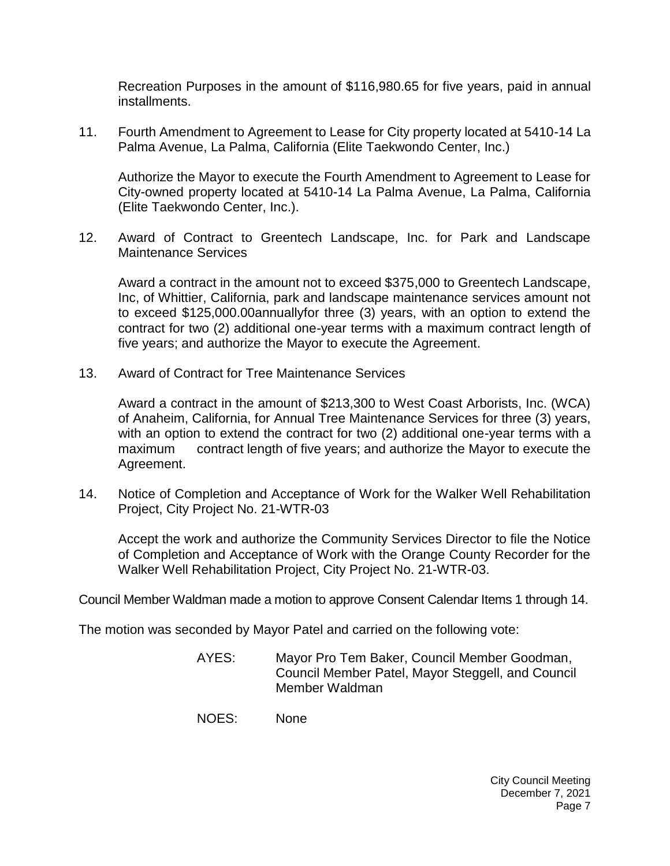Recreation Purposes in the amount of \$116,980.65 for five years, paid in annual installments.

11. Fourth Amendment to Agreement to Lease for City property located at 5410-14 La Palma Avenue, La Palma, California (Elite Taekwondo Center, Inc.)

Authorize the Mayor to execute the Fourth Amendment to Agreement to Lease for City-owned property located at 5410-14 La Palma Avenue, La Palma, California (Elite Taekwondo Center, Inc.).

12. Award of Contract to Greentech Landscape, Inc. for Park and Landscape Maintenance Services

Award a contract in the amount not to exceed \$375,000 to Greentech Landscape, Inc, of Whittier, California, park and landscape maintenance services amount not to exceed \$125,000.00annuallyfor three (3) years, with an option to extend the contract for two (2) additional one-year terms with a maximum contract length of five years; and authorize the Mayor to execute the Agreement.

13. Award of Contract for Tree Maintenance Services

Award a contract in the amount of \$213,300 to West Coast Arborists, Inc. (WCA) of Anaheim, California, for Annual Tree Maintenance Services for three (3) years, with an option to extend the contract for two (2) additional one-year terms with a maximum contract length of five years; and authorize the Mayor to execute the Agreement.

14. Notice of Completion and Acceptance of Work for the Walker Well Rehabilitation Project, City Project No. 21-WTR-03

Accept the work and authorize the Community Services Director to file the Notice of Completion and Acceptance of Work with the Orange County Recorder for the Walker Well Rehabilitation Project, City Project No. 21-WTR-03.

Council Member Waldman made a motion to approve Consent Calendar Items 1 through 14.

The motion was seconded by Mayor Patel and carried on the following vote:

- AYES: Mayor Pro Tem Baker, Council Member Goodman, Council Member Patel, Mayor Steggell, and Council Member Waldman
- NOES: None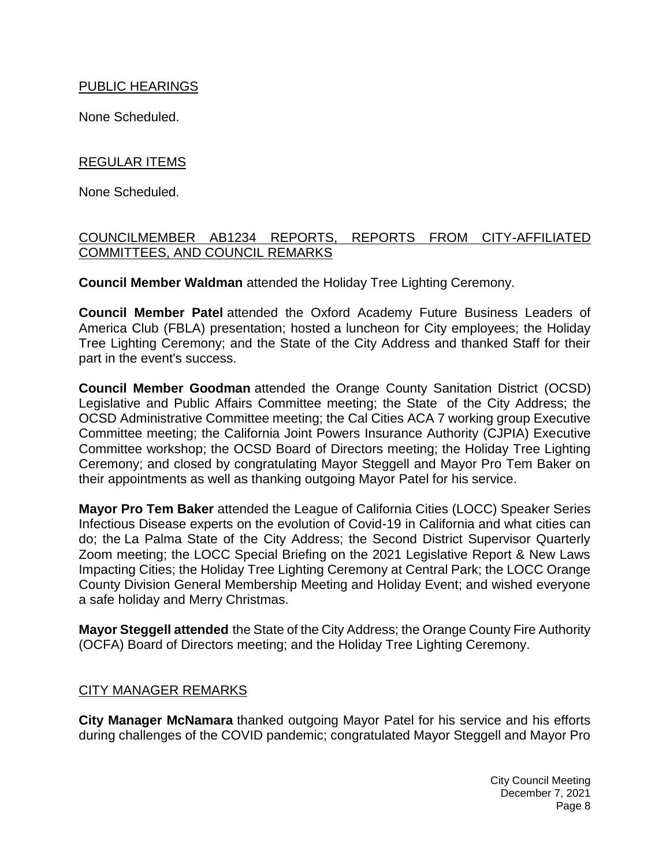### PUBLIC HEARINGS

None Scheduled.

# REGULAR ITEMS

None Scheduled.

### [COUNCILMEMBER AB1234 REPORTS, REPORTS FROM CITY-AFFILIATED](https://lapalma.granicus.com/MediaPlayer.php?view_id=&clip_id=1274&meta_id=171507)  [COMMITTEES, AND COUNCIL REMARKS](https://lapalma.granicus.com/MediaPlayer.php?view_id=&clip_id=1274&meta_id=171507)

**Council Member Waldman** attended the Holiday Tree Lighting Ceremony.

**Council Member Patel** attended the Oxford Academy Future Business Leaders of America Club (FBLA) presentation; hosted a luncheon for City employees; the Holiday Tree Lighting Ceremony; and the State of the City Address and thanked Staff for their part in the event's success.

**Council Member Goodman** attended the Orange County Sanitation District (OCSD) Legislative and Public Affairs Committee meeting; the State of the City Address; the OCSD Administrative Committee meeting; the Cal Cities ACA 7 working group Executive Committee meeting; the California Joint Powers Insurance Authority (CJPIA) Executive Committee workshop; the OCSD Board of Directors meeting; the Holiday Tree Lighting Ceremony; and closed by congratulating Mayor Steggell and Mayor Pro Tem Baker on their appointments as well as thanking outgoing Mayor Patel for his service.

**Mayor Pro Tem Baker** attended the League of California Cities (LOCC) Speaker Series Infectious Disease experts on the evolution of Covid-19 in California and what cities can do; the La Palma State of the City Address; the Second District Supervisor Quarterly Zoom meeting; the LOCC Special Briefing on the 2021 Legislative Report & New Laws Impacting Cities; the Holiday Tree Lighting Ceremony at Central Park; the LOCC Orange County Division General Membership Meeting and Holiday Event; and wished everyone a safe holiday and Merry Christmas.

**Mayor Steggell attended** the State of the City Address; the Orange County Fire Authority (OCFA) Board of Directors meeting; and the Holiday Tree Lighting Ceremony.

# [CITY MANAGER REMARKS](https://lapalma.granicus.com/MediaPlayer.php?view_id=&clip_id=1274&meta_id=171508)

**City Manager McNamara** thanked outgoing Mayor Patel for his service and his efforts during challenges of the COVID pandemic; congratulated Mayor Steggell and Mayor Pro